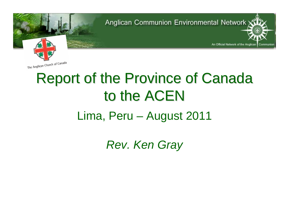An Official Network of the Anglican

Communion



# **Report of the Province of Canada** to the ACEN

#### Lima, Peru – August 2011

*Rev. Ken Gray*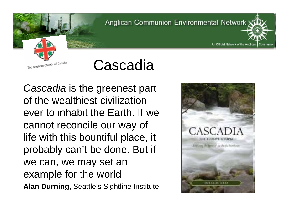



*Cascadia* is the greenest part of the wealthiest civilization ever to inhabit the Earth. If we cannot reconcile our way of life with this bountiful place, it probably can't be done. But if we can, we may set an example for the world **Alan Durning**, Seattle's Sightline Institute



An Official Network of the Anglican

Communion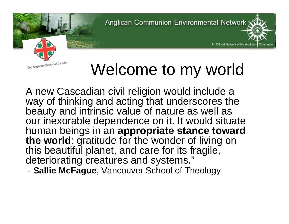An Official Network of the Anglican



# Welcome to my world

A new Cascadian civil religion would include a way of thinking and acting that underscores the beauty and intrinsic value of nature as well as our inexorable dependence on it. It would situate human beings in an **appropriate stance toward the world**: gratitude for the wonder of living on this beautiful planet, and care for its fragile, deteriorating creatures and systems."

-**Sallie McFague**, Vancouver School of Theology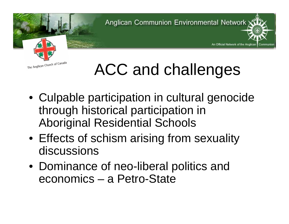An Official Network of the Anglican





- Culpable participation in cultural genocide through historical participation in Aboriginal Residential Schools
- Effects of schism arising from sexuality discussions
- Dominance of neo-liberal politics and economics – a Petro-State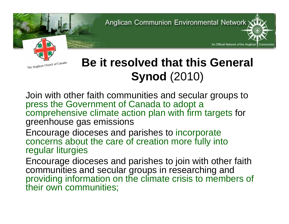An Official Network of the Anglican



#### **Be it resolved that this General Synod** (2010)

Join with other faith communities and secular groups to press the Government of Canada to adopt a comprehensive climate action plan with firm targets for greenhouse gas emissions

Encourage dioceses and parishes to incorporate concerns about the care of creation more fully into regular liturgies

Encourage dioceses and parishes to join with other faith communities and secular groups in researching and providing information on the climate crisis to members of their own communities;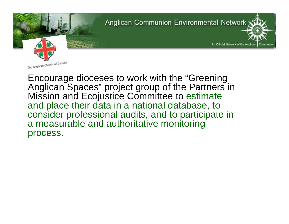**Anglican Communion Environmental Network** An Official Network of the Anglican Communior

Encourage dioceses to work with the "Greening Anglican Spaces" project group of the Partners in Mission and Ecojustice Committee to estimate and place their data in a national database, to consider professional audits, and to participate in a measurable and authoritative monitoring process.

The Anglican Church of Canada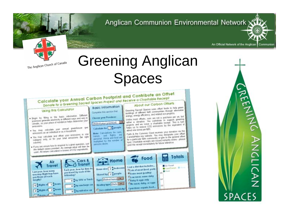An Official Network of the Anglican | Communion



## Greening Anglican Spaces



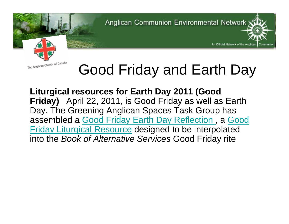An Official Network of the Anglican

Communior



## Good Friday and Earth Day

**Liturgical resources for Earth Day 2011 (Good Friday)** April 22, 2011, is Good Friday as well as Earth Day. The Greening Anglican Spaces Task Group has assembled a Good Friday Earth Day Reflection , a Good Friday Liturgical Resource designed to be interpolated into the *Book of Alternative Services* Good Friday rite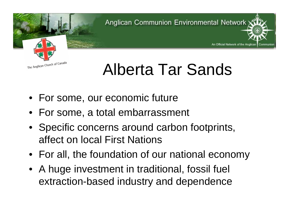An Official Network of the Anglican



## Alberta Tar Sands

- For some, our economic future
- For some, a total embarrassment
- Specific concerns around carbon footprints, affect on local First Nations
- For all, the foundation of our national economy
- A huge investment in traditional, fossil fuel extraction-based industry and dependence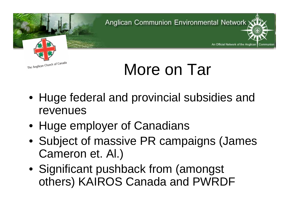An Official Network of the Anglican



## More on Tar

- Huge federal and provincial subsidies and revenues
- Huge employer of Canadians
- Subject of massive PR campaigns (James Cameron et. Al.)
- Significant pushback from (amongst others) KAIROS Canada and PWRDF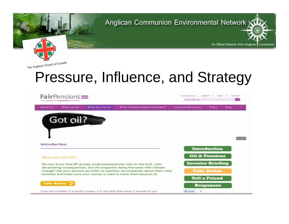



### Pressure, Influence, and Strategy

| $FairPensions =$<br>The campaign for responsible investment |                   |                 |                                                                                                                                                          | TABLACTION<br>DOMESTIC:<br>PERCE<br>Saw took that your |                           | CONTACT<br><b>DO</b> |  |
|-------------------------------------------------------------|-------------------|-----------------|----------------------------------------------------------------------------------------------------------------------------------------------------------|--------------------------------------------------------|---------------------------|----------------------|--|
| <b>About Us</b>                                             | What we do        | What You Can Do | What is Responsible Investment?                                                                                                                          | <b>Investor Resources</b>                              | Press                     | Blog:                |  |
|                                                             | Got oil?          |                 |                                                                                                                                                          |                                                        |                           |                      |  |
|                                                             |                   |                 |                                                                                                                                                          |                                                        |                           |                      |  |
|                                                             |                   |                 |                                                                                                                                                          |                                                        |                           | Crestit              |  |
| <b>Introduction</b>                                         |                   |                 |                                                                                                                                                          |                                                        | Introduction              |                      |  |
|                                                             | Have you Got Off? |                 |                                                                                                                                                          |                                                        | <b>Oil &amp; Pensions</b> |                      |  |
|                                                             |                   |                 |                                                                                                                                                          |                                                        |                           |                      |  |
|                                                             |                   |                 | We now know that BP grossly underestimated the risks in the Gulf, with                                                                                   |                                                        | <b>Investor Briefing</b>  |                      |  |
|                                                             |                   |                 | devastating consequences. Are oil companies doing the same with climate<br>change? Ask your pension provider to question oil companies about their risky |                                                        | <b>Take Action</b>        |                      |  |
|                                                             |                   |                 | business and make sure your money is used to move them beyond oil.                                                                                       |                                                        | <b>Tell a Friend</b>      |                      |  |
|                                                             | Take Action 3     |                 |                                                                                                                                                          |                                                        | <b>Responses</b>          |                      |  |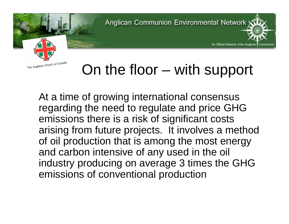An Official Network of the Anglican



### On the floor – with support

At a time of growing international consensus regarding the need to regulate and price GHG emissions there is a risk of significant costs arising from future projects. It involves a method of oil production that is among the most energy and carbon intensive of any used in the oil industry producing on average 3 times the GHG emissions of conventional production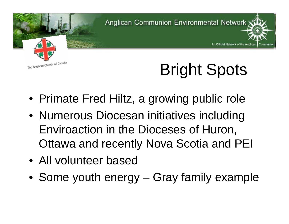

# Bright Spots

An Official Network of the Anglican

- Primate Fred Hiltz, a growing public role
- Numerous Diocesan initiatives including Enviroaction in the Dioceses of Huron, Ottawa and recently Nova Scotia and PEI
- All volunteer based
- Some youth energy Gray family example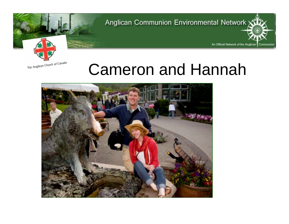An Official Network of the Anglican

Communion



## Cameron and Hannah

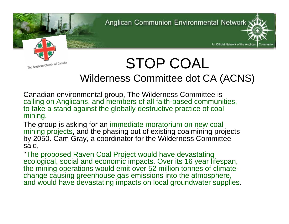An Official Network of the Anglican

Communion



#### STOP COAL Wilderness Committee dot CA (ACNS)

Canadian environmental group, The Wilderness Committee is calling on Anglicans, and members of all faith-based communities, to take a stand against the globally destructive practice of coal mining.

The group is asking for an immediate moratorium on new coal mining projects, and the phasing out of existing coalmining projects by 2050. Cam Gray, a coordinator for the Wilderness Committee said,

"The proposed Raven Coal Project would have devastating ecological, social and economic impacts. Over its 16 year lifespan, the mining operations would emit over 52 million tonnes of climatechange causing greenhouse gas emissions into the atmosphere, and would have devastating impacts on local groundwater supplies.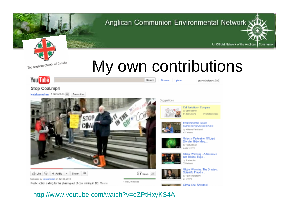

## My own contributions

Browse Upload

Search



#### Stop Coal.mp4

katakanadian 136 videos [8]

Subscribe

Public action calling for the phasing out of coal mining in BC. This is





Global Warming - A Sceintivic

Galactic Federation Of Light Sheldan Nidle Marc. by Korsurosan **R RISS Views** 

Cell Isolation - Compare by cellisolation **64,630 views** 

Environmental Issues Surrounding Quinsam Coal by ANnws/Vanisland 457 views

grayintheforest

Promoted Video



Global Warming: The Greatest Scientific Fraud o... by PoeticHeretic90

**B. Ginhal Cool Showreel** 

#### http://www.youtube.com/watch?v=eZPtHxyKS4A

1 likes, 0 distikes

An Official Network of the Anglican | Communion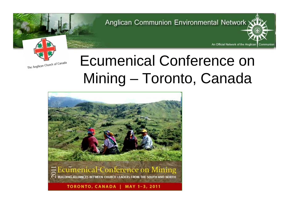An Official Network of the Anglican

Communion



### Ecumenical Conference on Mining – Toronto, Canada

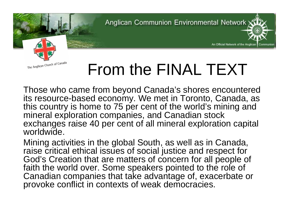An Official Network of the Anglican



# From the FINAL TEXT

Those who came from beyond Canada's shores encountered its resource-based economy. We met in Toronto, Canada, as this country is home to 75 per cent of the world's mining and mineral exploration companies, and Canadian stock exchanges raise 40 per cent of all mineral exploration capital worldwide.

Mining activities in the global South, as well as in Canada, raise critical ethical issues of social justice and respect for God's Creation that are matters of concern for all people of faith the world over. Some speakers pointed to the role of Canadian companies that take advantage of, exacerbate or provoke conflict in contexts of weak democracies.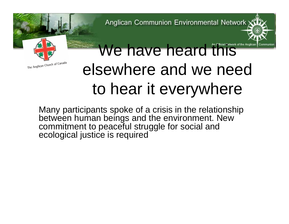

# We have heard this Method and the Angle elsewhere and we need to hear it everywhere

Many participants spoke of a crisis in the relationship between human beings and the environment. New commitment to peaceful struggle for social and ecological justice is required